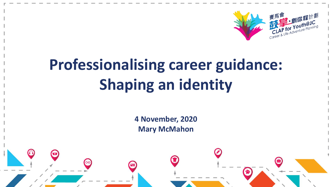

# **Professionalising career guidance: Shaping an identity**

**4 November, 2020 Mary McMahon**

 $\leftarrow$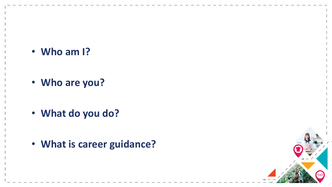• **Who am I?**

• **Who are you?**

• **What do you do?**

• **What is career guidance?**

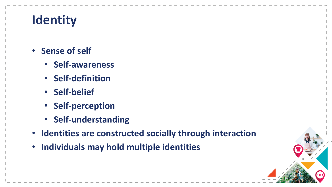### **Identity**

- **Sense of self** 
	- **Self-awareness**
	- **Self-definition**
	- **Self-belief**
	- **Self-perception**
	- **Self-understanding**
- **Identities are constructed socially through interaction**
- **Individuals may hold multiple identities**

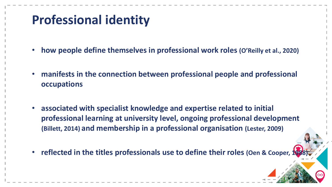#### **Professional identity**

- **how people define themselves in professional work roles (O'Reilly et al., 2020)**
- **manifests in the connection between professional people and professional occupations**
- **associated with specialist knowledge and expertise related to initial professional learning at university level, ongoing professional development (Billett, 2014) and membership in a professional organisation (Lester, 2009)**
- **reflected in the titles professionals use to define their roles (Oen & Cooper, 1988)**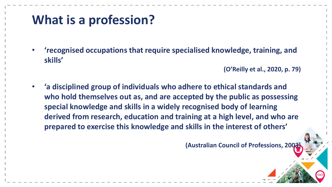#### **What is a profession?**

• **'recognised occupations that require specialised knowledge, training, and skills'** 

**(O'Reilly et al., 2020, p. 79)**

• **'a disciplined group of individuals who adhere to ethical standards and who hold themselves out as, and are accepted by the public as possessing special knowledge and skills in a widely recognised body of learning derived from research, education and training at a high level, and who are prepared to exercise this knowledge and skills in the interest of others'** 

**(Australian Council of Professions, 2003)**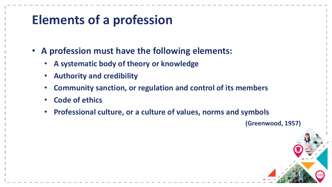#### **Elements of a profession**

- **A profession must have the following elements:**
	- **A systematic body of theory or knowledge**
	- **Authority and credibility**
	- **Community sanction, or regulation and control of its members**
	- **Code of ethics**
	- **Professional culture, or a culture of values, norms and symbols**

**(Greenwood, 1957)**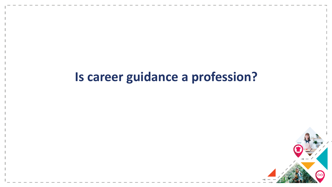#### **Is career guidance a profession?**

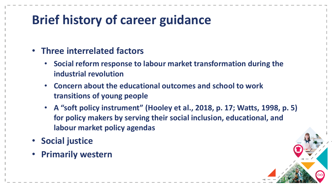#### **Brief history of career guidance**

- **Three interrelated factors**
	- **Social reform response to labour market transformation during the industrial revolution**
	- **Concern about the educational outcomes and school to work transitions of young people**
	- **A "soft policy instrument" (Hooley et al., 2018, p. 17; Watts, 1998, p. 5) for policy makers by serving their social inclusion, educational, and labour market policy agendas**
- **Social justice**
- **Primarily western**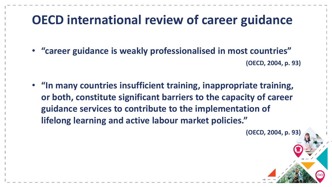#### **OECD international review of career guidance**

• **"career guidance is weakly professionalised in most countries" (OECD, 2004, p. 93)**

• **"In many countries insufficient training, inappropriate training, or both, constitute significant barriers to the capacity of career guidance services to contribute to the implementation of lifelong learning and active labour market policies."** 

**(OECD, 2004, p. 93)**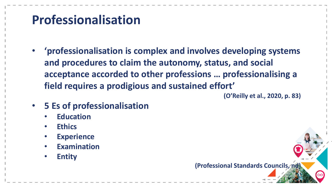#### **Professionalisation**

• **'professionalisation is complex and involves developing systems and procedures to claim the autonomy, status, and social acceptance accorded to other professions … professionalising a field requires a prodigious and sustained effort'**

**(O'Reilly et al., 2020, p. 83)**

- **5 Es of professionalisation**
	- **Education**
	- **Ethics**
	- **Experience**
	- **Examination**
	- **Entity**

**(Professional Standards Councils, nd)**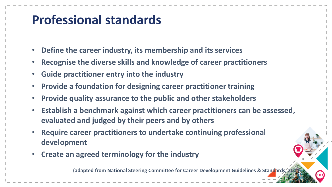#### **Professional standards**

- **Define the career industry, its membership and its services**
- **Recognise the diverse skills and knowledge of career practitioners**
- **Guide practitioner entry into the industry**
- **Provide a foundation for designing career practitioner training**
- **Provide quality assurance to the public and other stakeholders**
- **Establish a benchmark against which career practitioners can be assessed, evaluated and judged by their peers and by others**
- **Require career practitioners to undertake continuing professional development**
- **Create an agreed terminology for the industry**

**(adapted from National Steering Committee for Career Development Guidelines & Standards, 2004)**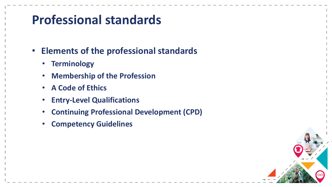#### **Professional standards**

- **Elements of the professional standards**
	- **Terminology**
	- **Membership of the Profession**
	- **A Code of Ethics**
	- **Entry-Level Qualifications**
	- **Continuing Professional Development (CPD)**
	- **Competency Guidelines**

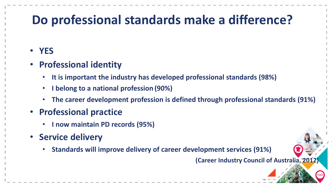#### **Do professional standards make a difference?**

#### • **YES**

- **Professional identity**
	- **It is important the industry has developed professional standards (98%)**
	- **I belong to a national profession (90%)**
	- **The career development profession is defined through professional standards (91%)**
- **Professional practice**
	- **I now maintain PD records (95%)**
- **Service delivery**
	- **Standards will improve delivery of career development services (91%)**

**(Career Industry Council of Australia, 2012)**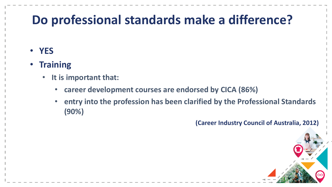#### **Do professional standards make a difference?**

- **YES**
- **Training**
	- **It is important that:**
		- **career development courses are endorsed by CICA (86%)**
		- **entry into the profession has been clarified by the Professional Standards (90%)**

**(Career Industry Council of Australia, 2012)**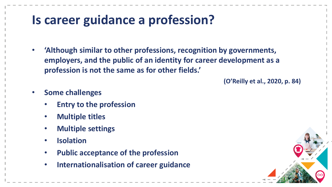#### **Is career guidance a profession?**

• **'Although similar to other professions, recognition by governments, employers, and the public of an identity for career development as a profession is not the same as for other fields.'**

**(O'Reilly et al., 2020, p. 84)**

- **Some challenges**
	- **Entry to the profession**
	- **Multiple titles**
	- **Multiple settings**
	- **Isolation**
	- **Public acceptance of the profession**
	- **Internationalisation of career guidance**

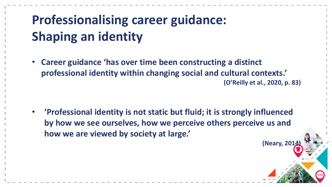## **Professionalising career guidance: Shaping an identity**

• **Career guidance 'has over time been constructing a distinct professional identity within changing social and cultural contexts.' (O'Reilly et al., 2020, p. 83)**

• **'Professional identity is not static but fluid; it is strongly influenced by how we see ourselves, how we perceive others perceive us and how we are viewed by society at large.'** 

**(Neary, 2014)**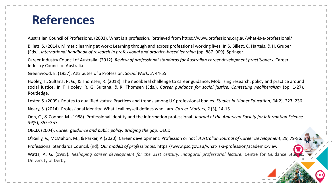#### **References**

Australian Council of Professions. (2003). What is a profession. Retrieved from https://www.professions.org.au/what-is-a-professional/

Billett, S. (2014). Mimetic learning at work: Learning through and across professional working lives. In S. Billett, C. Harteis, & H. Gruber (Eds.), *International handbook of research in professional and practice-based learning (pp. 887–909). Springer.* 

Career Industry Council of Australia. (2012). *Review of professional standards for Australian career development practitioners.* Career Industry Council of Australia.

Greenwood, E. (1957). Attributes of a Profession. *Social Work, 2*, 44-55.

Hooley, T., Sultana, R. G., & Thomsen, R. (2018). The neoliberal challenge to career guidance: Mobilising research, policy and practice around social justice. In T. Hooley, R. G. Sultana, & R. Thomsen (Eds.), *Career guidance for social justice: Contesting neoliberalism* (pp. 1-27). Routledge.

Lester, S. (2009). Routes to qualified status: Practices and trends among UK professional bodies. *Studies in Higher Education, 34*(2), 223–236.

Neary, S. (2014). Professional identity: What I call myself defines who I am. *Career Matters, 2* (3), 14-15

Oen, C., & Cooper, M. (1988). Professional identity and the information professional. *Journal of the American Society for Information Science, 39*(5), 355–357.

OECD. (2004). *Career guidance and public policy: Bridging the gap*. OECD.

O'Reilly, V., McMahon, M., & Parker, P. (2020). Career development: Profession or not? *Australian Journal of Career Development, 29*, 79-86. Professional Standards Council. (nd). *Our models of professionals*. https://www.psc.gov.au/what-is-a-profession/academic-view Watts, A. G. (1998). *Reshaping career development for the 21st century. Inaugural professorial lecture. Centre for Guidance Studies,* University of Derby.